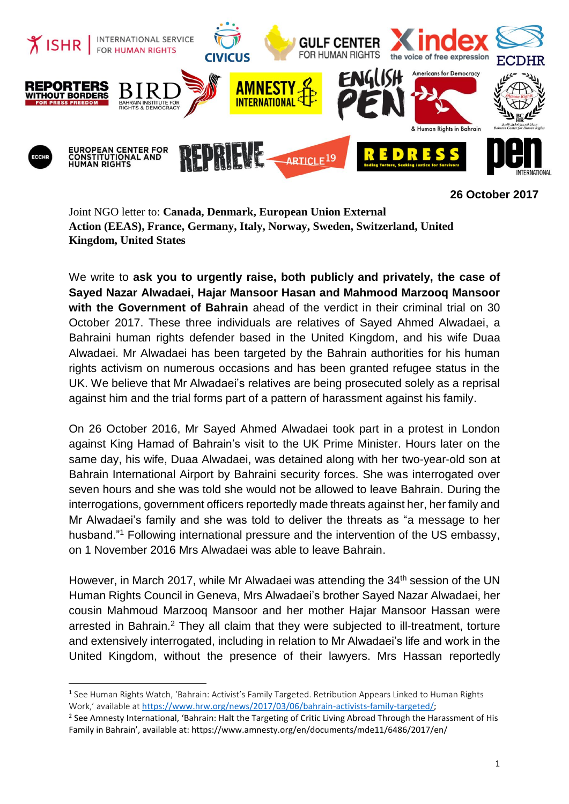

**26 October 2017**

Joint NGO letter to: **Canada, Denmark, European Union External Action (EEAS), France, Germany, Italy, Norway, Sweden, Switzerland, United Kingdom, United States**

We write to **ask you to urgently raise, both publicly and privately, the case of Sayed Nazar Alwadaei, Hajar Mansoor Hasan and Mahmood Marzooq Mansoor with the Government of Bahrain** ahead of the verdict in their criminal trial on 30 October 2017. These three individuals are relatives of Sayed Ahmed Alwadaei, a Bahraini human rights defender based in the United Kingdom, and his wife Duaa Alwadaei. Mr Alwadaei has been targeted by the Bahrain authorities for his human rights activism on numerous occasions and has been granted refugee status in the UK. We believe that Mr Alwadaei's relatives are being prosecuted solely as a reprisal against him and the trial forms part of a pattern of harassment against his family.

On 26 October 2016, Mr Sayed Ahmed Alwadaei took part in a protest in London against King Hamad of Bahrain's visit to the UK Prime Minister. Hours later on the same day, his wife, Duaa Alwadaei, was detained along with her two-year-old son at Bahrain International Airport by Bahraini security forces. She was interrogated over seven hours and she was told she would not be allowed to leave Bahrain. During the interrogations, government officers reportedly made threats against her, her family and Mr Alwadaei's family and she was told to deliver the threats as "a message to her husband."<sup>1</sup> Following international pressure and the intervention of the US embassy, on 1 November 2016 Mrs Alwadaei was able to leave Bahrain.

However, in March 2017, while Mr Alwadaei was attending the 34<sup>th</sup> session of the UN Human Rights Council in Geneva, Mrs Alwadaei's brother Sayed Nazar Alwadaei, her cousin Mahmoud Marzooq Mansoor and her mother Hajar Mansoor Hassan were arrested in Bahrain.<sup>2</sup> They all claim that they were subjected to ill-treatment, torture and extensively interrogated, including in relation to Mr Alwadaei's life and work in the United Kingdom, without the presence of their lawyers. Mrs Hassan reportedly

1

<sup>&</sup>lt;sup>1</sup> See Human Rights Watch, 'Bahrain: Activist's Family Targeted. Retribution Appears Linked to Human Rights Work,' available at [https://www.hrw.org/news/2017/03/06/bahrain-activists-family-targeted/;](https://www.hrw.org/news/2017/03/06/bahrain-activists-family-targeted/)

<sup>&</sup>lt;sup>2</sup> See Amnesty International, 'Bahrain: Halt the Targeting of Critic Living Abroad Through the Harassment of His Family in Bahrain', available at: https://www.amnesty.org/en/documents/mde11/6486/2017/en/